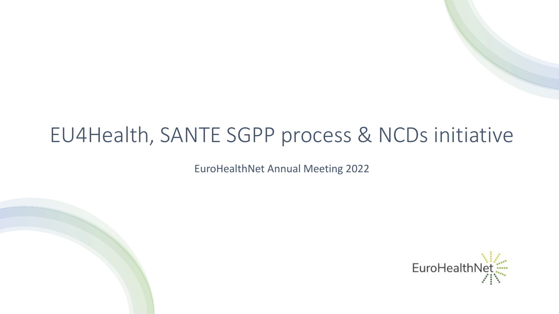# EU4Health, SANTE SGPP process & NCDs initiative

EuroHealthNet Annual Meeting 2022

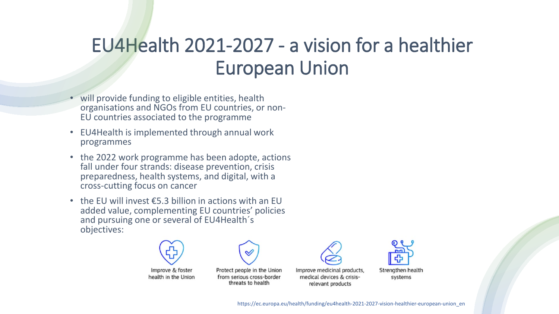## EU4Health 2021-2027 - a vision for a healthier European Union

- will provide funding to eligible entities, health organisations and NGOs from EU countries, or non- EU countries associated to the programme
- EU4Health is implemented through annual work programmes
- the 2022 work programme has been adopte, actions fall under four strands: disease prevention, crisis preparedness, health systems, and digital, with a cross-cutting focus on cancer
- the EU will invest  $\epsilon$ 5.3 billion in actions with an EU added value, complementing EU countries' policies and pursuing one or several of EU4Health´s objectives:



Improve & foster health in the Union

Protect people in the Union from serious cross-border threats to health





systems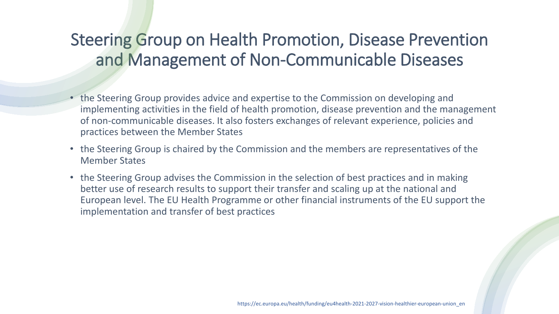## Steering Group on Health Promotion, Disease Prevention and Management of Non-Communicable Diseases

- the Steering Group provides advice and expertise to the Commission on developing and implementing activities in the field of health promotion, disease prevention and the management of non-communicable diseases. It also fosters exchanges of relevant experience, policies and practices between the Member States
- the Steering Group is chaired by the Commission and the members are representatives of the Member States
- the Steering Group advises the Commission in the selection of best practices and in making better use of research results to support their transfer and scaling up at the national and European level. The EU Health Programme or other financial instruments of the EU support the implementation and transfer of best practices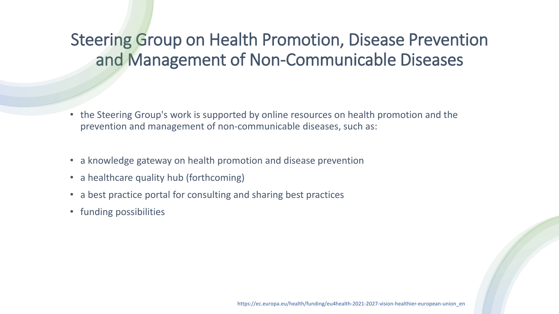## Steering Group on Health Promotion, Disease Prevention and Management of Non-Communicable Diseases

- the Steering Group's work is supported by online resources on health promotion and the prevention and management of non-communicable diseases, such as:
- a knowledge gateway on health promotion and disease prevention
- a healthcare quality hub (forthcoming)
- a best practice portal for consulting and sharing best practices
- funding possibilities

https://ec.europa.eu/health/funding/eu4health-2021-2027-vision-healthier-european-union\_en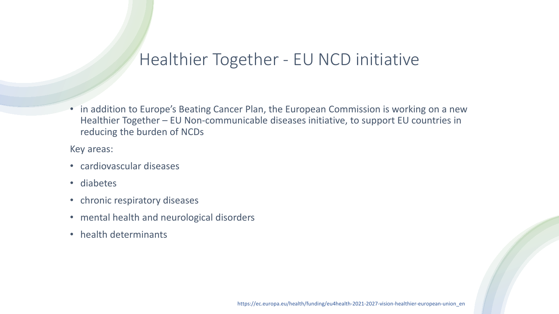#### Healthier Together - EU NCD initiative

• in addition to Europe's Beating Cancer Plan, the European Commission is working on a new Healthier Together – EU Non-communicable diseases initiative, to support EU countries in reducing the burden of NCDs

Key areas:

- cardiovascular diseases
- diabetes
- chronic respiratory diseases
- mental health and neurological disorders
- health determinants

https://ec.europa.eu/health/funding/eu4health-2021-2027-vision-healthier-european-union\_en